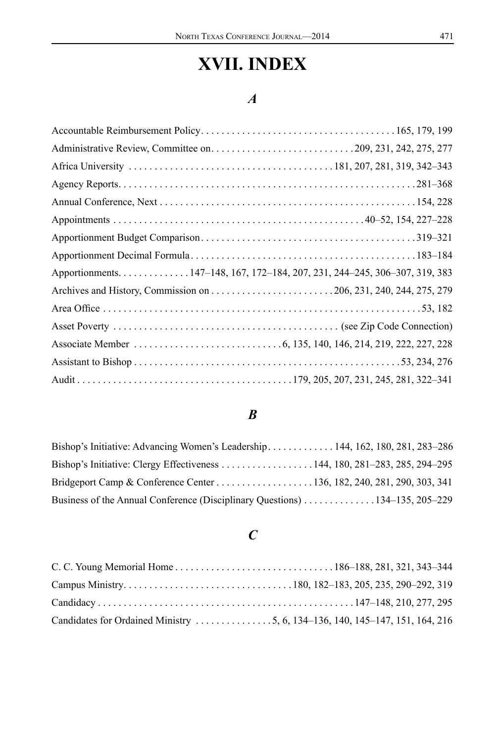# **XVII. INDEX**

### *A*

| Apportionments147-148, 167, 172-184, 207, 231, 244-245, 306-307, 319, 383 |  |
|---------------------------------------------------------------------------|--|
|                                                                           |  |
|                                                                           |  |
|                                                                           |  |
|                                                                           |  |
|                                                                           |  |
|                                                                           |  |

#### *B*

| Bishop's Initiative: Advancing Women's Leadership 144, 162, 180, 281, 283–286 |  |  |  |
|-------------------------------------------------------------------------------|--|--|--|
|                                                                               |  |  |  |
|                                                                               |  |  |  |
| Business of the Annual Conference (Disciplinary Questions) 134–135, 205–229   |  |  |  |

# *C*

| Candidates for Ordained Ministry 5, 6, 134–136, 140, 145–147, 151, 164, 216 |  |
|-----------------------------------------------------------------------------|--|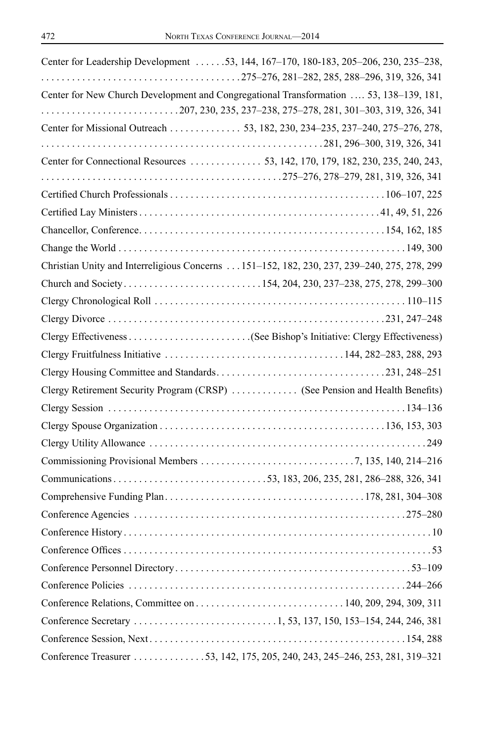| Center for Leadership Development 53, 144, 167-170, 180-183, 205-206, 230, 235-238,        |
|--------------------------------------------------------------------------------------------|
| Center for New Church Development and Congregational Transformation  53, 138-139, 181,     |
|                                                                                            |
| Center for Missional Outreach 53, 182, 230, 234-235, 237-240, 275-276, 278,                |
|                                                                                            |
|                                                                                            |
|                                                                                            |
|                                                                                            |
|                                                                                            |
|                                                                                            |
|                                                                                            |
| Christian Unity and Interreligious Concerns 151-152, 182, 230, 237, 239-240, 275, 278, 299 |
|                                                                                            |
|                                                                                            |
|                                                                                            |
|                                                                                            |
|                                                                                            |
|                                                                                            |
| Clergy Retirement Security Program (CRSP)  (See Pension and Health Benefits)               |
|                                                                                            |
|                                                                                            |
|                                                                                            |
|                                                                                            |
|                                                                                            |
|                                                                                            |
|                                                                                            |
|                                                                                            |
|                                                                                            |
|                                                                                            |
|                                                                                            |
|                                                                                            |
|                                                                                            |
|                                                                                            |
| Conference Treasurer 53, 142, 175, 205, 240, 243, 245–246, 253, 281, 319–321               |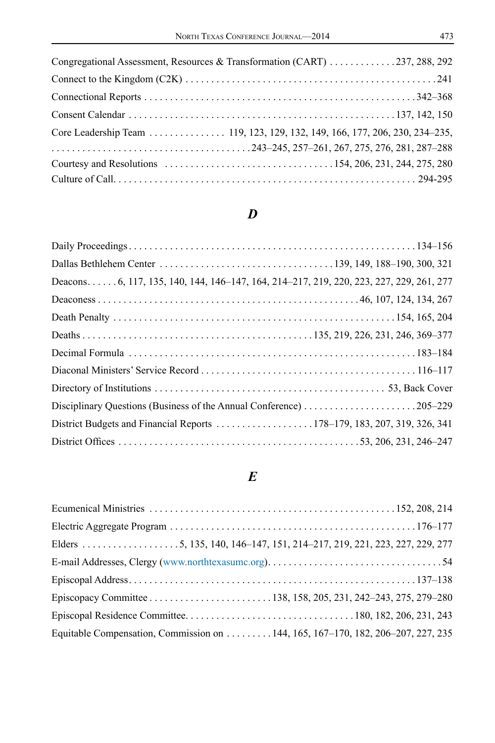| Congregational Assessment, Resources & Transformation (CART) 237, 288, 292 |  |
|----------------------------------------------------------------------------|--|
|                                                                            |  |
|                                                                            |  |
|                                                                            |  |
| Core Leadership Team 119, 123, 129, 132, 149, 166, 177, 206, 230, 234-235, |  |
|                                                                            |  |
|                                                                            |  |
|                                                                            |  |

# *D*

| Deacons6, 117, 135, 140, 144, 146–147, 164, 214–217, 219, 220, 223, 227, 229, 261, 277 |  |
|----------------------------------------------------------------------------------------|--|
|                                                                                        |  |
|                                                                                        |  |
|                                                                                        |  |
|                                                                                        |  |
|                                                                                        |  |
|                                                                                        |  |
|                                                                                        |  |
|                                                                                        |  |
|                                                                                        |  |
|                                                                                        |  |

# *E*

| Equitable Compensation, Commission on  144, 165, 167–170, 182, 206–207, 227, 235 |  |  |
|----------------------------------------------------------------------------------|--|--|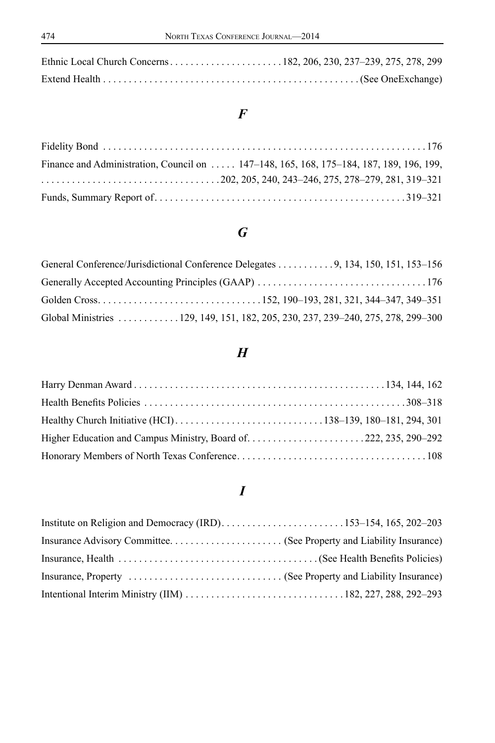### *F*

| Finance and Administration, Council on , 147–148, 165, 168, 175–184, 187, 189, 196, 199,                                                       |  |
|------------------------------------------------------------------------------------------------------------------------------------------------|--|
| $\ldots \ldots \ldots \ldots \ldots \ldots \ldots \ldots \ldots \ldots \ldots \ldots 202, 205, 240, 243 - 246, 275, 278 - 279, 281, 319 - 321$ |  |
|                                                                                                                                                |  |

# *G*

| General Conference/Jurisdictional Conference Delegates 9, 134, 150, 151, 153–156 |  |
|----------------------------------------------------------------------------------|--|
|                                                                                  |  |
|                                                                                  |  |
| Global Ministries 129, 149, 151, 182, 205, 230, 237, 239-240, 275, 278, 299-300  |  |

# *H*

# *I*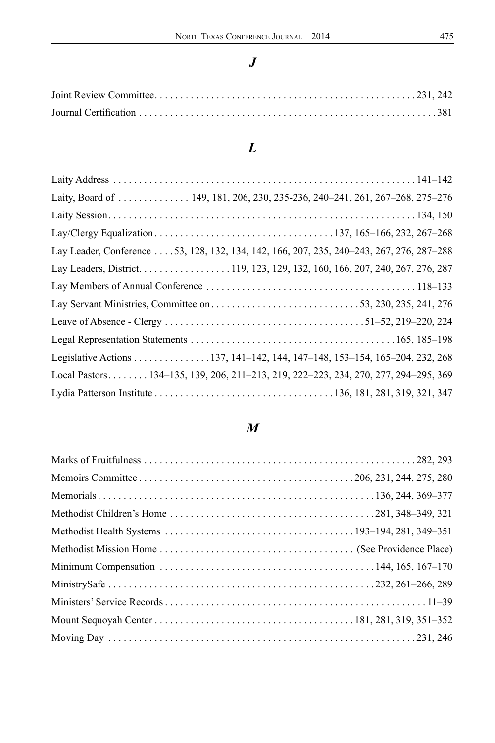### *J*

# *L*

| Laity, Board of  149, 181, 206, 230, 235-236, 240-241, 261, 267-268, 275-276             |  |
|------------------------------------------------------------------------------------------|--|
|                                                                                          |  |
|                                                                                          |  |
| Lay Leader, Conference 53, 128, 132, 134, 142, 166, 207, 235, 240-243, 267, 276, 287-288 |  |
|                                                                                          |  |
|                                                                                          |  |
|                                                                                          |  |
|                                                                                          |  |
|                                                                                          |  |
| Legislative Actions 137, 141-142, 144, 147-148, 153-154, 165-204, 232, 268               |  |
| Local Pastors134–135, 139, 206, 211–213, 219, 222–223, 234, 270, 277, 294–295, 369       |  |
|                                                                                          |  |

# *M*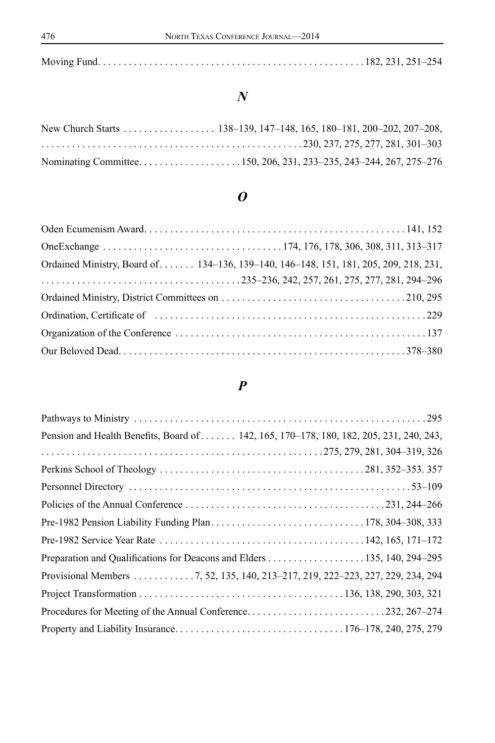|--|--|--|--|

#### *N*

| New Church Starts 138–139, 147–148, 165, 180–181, 200–202, 207–208, |  |  |  |
|---------------------------------------------------------------------|--|--|--|
|                                                                     |  |  |  |
|                                                                     |  |  |  |

# *O*

| Ordained Ministry, Board of 134–136, 139–140, 146–148, 151, 181, 205, 209, 218, 231, |
|--------------------------------------------------------------------------------------|
|                                                                                      |
|                                                                                      |
|                                                                                      |
|                                                                                      |
|                                                                                      |
|                                                                                      |

### *P*

| Pension and Health Benefits, Board of 142, 165, 170–178, 180, 182, 205, 231, 240, 243, |  |
|----------------------------------------------------------------------------------------|--|
|                                                                                        |  |
|                                                                                        |  |
|                                                                                        |  |
|                                                                                        |  |
|                                                                                        |  |
|                                                                                        |  |
| Preparation and Qualifications for Deacons and Elders 135, 140, 294–295                |  |
| Provisional Members 7, 52, 135, 140, 213-217, 219, 222-223, 227, 229, 234, 294         |  |
|                                                                                        |  |
| Procedures for Meeting of the Annual Conference232, 267–274                            |  |
|                                                                                        |  |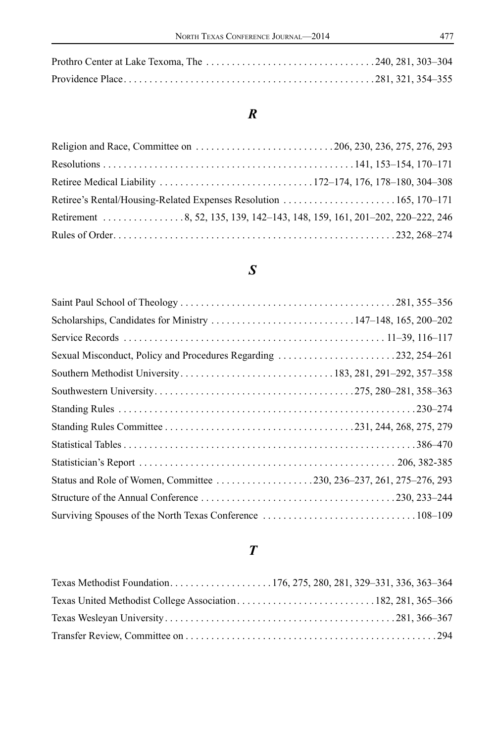### *R*

| Retirement 8, 52, 135, 139, 142–143, 148, 159, 161, 201–202, 220–222, 246 |  |
|---------------------------------------------------------------------------|--|
|                                                                           |  |

### *S*

| Scholarships, Candidates for Ministry 147-148, 165, 200-202         |  |
|---------------------------------------------------------------------|--|
|                                                                     |  |
|                                                                     |  |
|                                                                     |  |
|                                                                     |  |
|                                                                     |  |
|                                                                     |  |
|                                                                     |  |
|                                                                     |  |
| Status and Role of Women, Committee 230, 236-237, 261, 275-276, 293 |  |
|                                                                     |  |
|                                                                     |  |

# *T*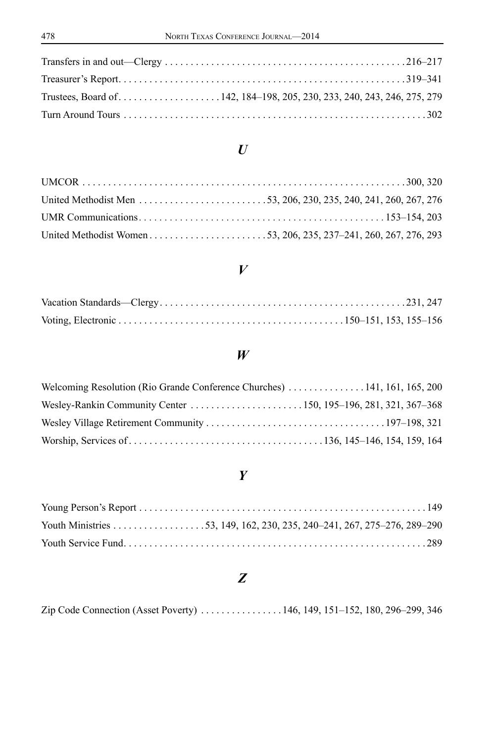#### *U*

#### *V*

#### *W*

#### *Y*

#### *Z*

Zip Code Connection (Asset Poverty) . . . . . . . . . . . . . . . 146, 149, 151-152, 180, 296-299, 346